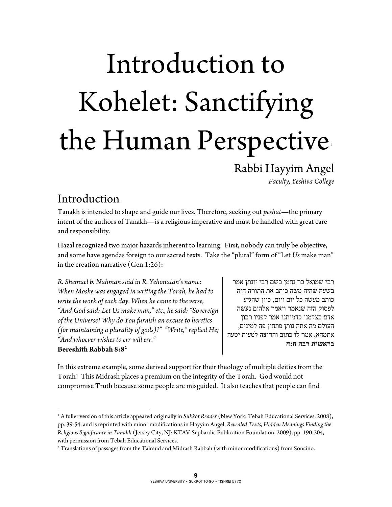# Introduction to Kohelet: Sanctifying the Human Perspective

Rabbi Hayyim Angel

*Faculty, Yeshiva College* 

#### Introduction

 $\overline{a}$ 

Tanakh is intended to shape and guide our lives. Therefore, seeking out *peshat*—the primary intent of the authors of Tanakh—is a religious imperative and must be handled with great care and responsibility.

Hazal recognized two major hazards inherent to learning. First, nobody can truly be objective, and some have agendas foreign to our sacred texts. Take the "plural" form of "Let *Us* make man" in the creation narrative (Gen.1:26):

*R. Shemuel b. Nahman said in R. Yehonatan's name: When Moshe was engaged in writing the Torah, he had to write the work of each day. When he came to the verse, "And God said: Let Us make man," etc., he said: "Sovereign of the Universe! Why do You furnish an excuse to heretics (for maintaining a plurality of gods)?" "Write," replied He; "And whoever wishes to err will err."*  **Bereshith Rabbah 8:82**

רבי שמואל בר נחמן בשם רבי יונתן אמר בשעה שהיה משה כותב את התורה היה כותב מעשה כל יום ויום, כיון שהגיע לפסוק הזה שנאמר ויאמר אלהים נעשה אדם בצלמנו כדמותנו אמר לפניו רבון העולם מה אתה נותן פתחון פה למינים, אתמהא, אמר לו כתוב והרוצה לטעות יטעה **בראשית רבה ח:ח** 

In this extreme example, some derived support for their theology of multiple deities from the Torah! This Midrash places a premium on the integrity of the Torah. God would not compromise Truth because some people are misguided. It also teaches that people can find

<sup>1</sup> A fuller version of this article appeared originally in *Sukkot Reader* (New York: Tebah Educational Services, 2008), pp. 39-54, and is reprinted with minor modifications in Hayyim Angel, *Revealed Texts, Hidden Meanings Finding the Religious Significance in Tanakh* (Jersey City, NJ: KTAV-Sephardic Publication Foundation, 2009), pp. 190-204, with permission from Tebah Educational Services.

 $^{\rm 2}$  Translations of passages from the Talmud and Midrash Rabbah (with minor modifications) from Soncino.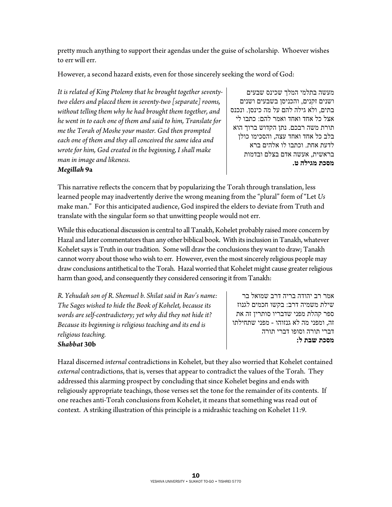pretty much anything to support their agendas under the guise of scholarship. Whoever wishes to err will err.

However, a second hazard exists, even for those sincerely seeking the word of God:

*It is related of King Ptolemy that he brought together seventytwo elders and placed them in seventy-two [separate] rooms, without telling them why he had brought them together, and he went in to each one of them and said to him, Translate for me the Torah of Moshe your master. God then prompted each one of them and they all conceived the same idea and wrote for him, God created in the beginning, I shall make man in image and likeness.* 

מעשה בתלמי המלך שכינס שבעים ושנים זקנים, והכניסן בשבעים ושנים בתים, ולא גילה להם על מה כינסן. ונכנס אצל כל אחד ואחד ואמר להם: כתבו לי תורת משה רבכם. נתן הקדוש ברוך הוא בלב כל אחד ואחד עצה, והסכימו כולן לדעת אחת. וכתבו לו אלהים ברא בראשית, אעשה אדם בצלם ובדמות **מסכת מגילה ט.**

#### *Megillah* **9a**

This narrative reflects the concern that by popularizing the Torah through translation, less learned people may inadvertently derive the wrong meaning from the "plural" form of "Let *Us* make man." For this anticipated audience, God inspired the elders to deviate from Truth and translate with the singular form so that unwitting people would not err.

While this educational discussion is central to all Tanakh, Kohelet probably raised more concern by Hazal and later commentators than any other biblical book. With its inclusion in Tanakh, whatever Kohelet says is Truth in our tradition. Some will draw the conclusions they want to draw; Tanakh cannot worry about those who wish to err. However, even the most sincerely religious people may draw conclusions antithetical to the Torah. Hazal worried that Kohelet might cause greater religious harm than good, and consequently they considered censoring it from Tanakh:

*R. Yehudah son of R. Shemuel b. Shilat said in Rav's name: The Sages wished to hide the Book of Kohelet, because its words are self-contradictory; yet why did they not hide it? Because its beginning is religious teaching and its end is religious teaching. Shabbat* **30b**

אמר רב יהודה בריה דרב שמואל בר שילת משמיה דרב: בקשו חכמים לגנוז ספר קהלת מפני שדבריו סותרין זה את זה, ומפני מה לא גנזוהו - מפני שתחילתו דברי תורה וסופו דברי תורה **מסכת שבת ל:**

Hazal discerned *internal* contradictions in Kohelet, but they also worried that Kohelet contained *external* contradictions, that is, verses that appear to contradict the values of the Torah. They addressed this alarming prospect by concluding that since Kohelet begins and ends with religiously appropriate teachings, those verses set the tone for the remainder of its contents. If one reaches anti-Torah conclusions from Kohelet, it means that something was read out of context. A striking illustration of this principle is a midrashic teaching on Kohelet 11:9.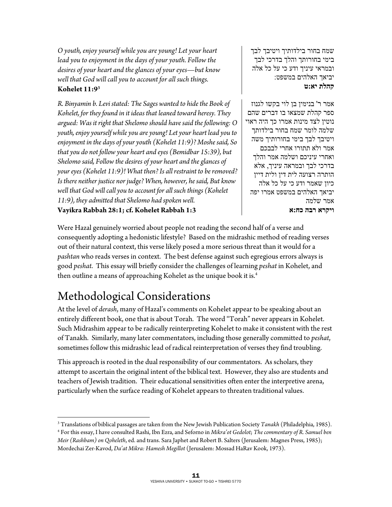*O youth, enjoy yourself while you are young! Let your heart lead you to enjoyment in the days of your youth. Follow the desires of your heart and the glances of your eyes—but know well that God will call you to account for all such things.*  **Kohelet 11:93**

*R. Binyamin b. Levi stated: The Sages wanted to hide the Book of Kohelet, for they found in it ideas that leaned toward heresy. They argued: Was it right that Shelomo should have said the following: O youth, enjoy yourself while you are young! Let your heart lead you to enjoyment in the days of your youth (Kohelet 11:9)? Moshe said, So that you do not follow your heart and eyes (Bemidbar 15:39), but Shelomo said, Follow the desires of your heart and the glances of your eyes (Kohelet 11:9)! What then? Is all restraint to be removed? Is there neither justice nor judge? When, however, he said, But know well that God will call you to account for all such things (Kohelet 11:9), they admitted that Shelomo had spoken well.*  **Vayikra Rabbah 28:1; cf. Kohelet Rabbah 1:3**

שמח בחור בילדותיך ויטיבך לבך בימי בחורותך והלך בדרכי לבך ובמראי עיניך ודע כי על כל אלה יביאך האלהים במשפט: **קהלת יא:ט**

אמר ר' בנימין בן לוי בקשו לגנוז ספר קהלת שמצאו בו דברים שהם נוטין לצד מינות אמרו כך היה ראוי שלמה לומר שמח בחור בילדותך ויטיבך לבך בימי בחורותיך משה אמר ולא תתורו אחרי לבבכם ואחרי עיניכם ושלמה אמר והלך בדרכי לבך ובמראה עיניך, אלא הותרה רצועה לית דין ולית דיין כיון שאמר ודע כי על כל אלה יביאך האלהים במשפט אמרו יפה אמר שלמה **ויקרא רבה כח:א**

Were Hazal genuinely worried about people not reading the second half of a verse and consequently adopting a hedonistic lifestyle? Based on the midrashic method of reading verses out of their natural context, this verse likely posed a more serious threat than it would for a *pashtan* who reads verses in context. The best defense against such egregious errors always is good *peshat*. This essay will briefly consider the challenges of learning *peshat* in Kohelet, and then outline a means of approaching Kohelet as the unique book it is.<sup>4</sup>

## Methodological Considerations

At the level of *derash*, many of Hazal's comments on Kohelet appear to be speaking about an entirely different book, one that is about Torah. The word "Torah" never appears in Kohelet. Such Midrashim appear to be radically reinterpreting Kohelet to make it consistent with the rest of Tanakh. Similarly, many later commentators, including those generally committed to *peshat*, sometimes follow this midrashic lead of radical reinterpretation of verses they find troubling.

This approach is rooted in the dual responsibility of our commentators. As scholars, they attempt to ascertain the original intent of the biblical text. However, they also are students and teachers of Jewish tradition. Their educational sensitivities often enter the interpretive arena, particularly when the surface reading of Kohelet appears to threaten traditional values.

 $\overline{a}$ <sup>3</sup> Translations of biblical passages are taken from the New Jewish Publication Society *Tanakh* (Philadelphia, 1985).<br><sup>4</sup> For this essay I have consulted Rashi. Ibn Ezra, and Seforno in *Mikra'ot Gedolot: The commentary o* 

For this essay, I have consulted Rashi, Ibn Ezra, and Seforno in *Mikra'ot Gedolot*; *The commentary of R. Samuel ben Meir (Rashbam) on Qoheleth*, ed. and trans. Sara Japhet and Robert B. Salters (Jerusalem: Magnes Press, 1985); Mordechai Zer-Kavod, *Da'at Mikra: Hamesh Megillot* (Jerusalem: Mossad HaRav Kook, 1973).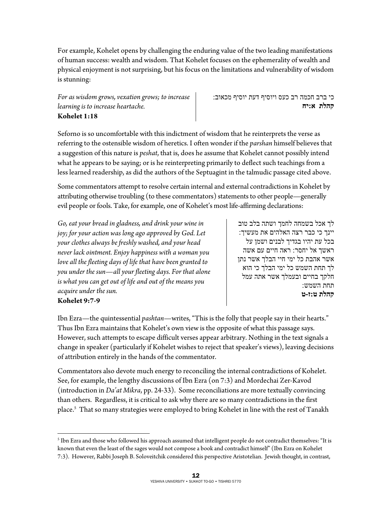For example, Kohelet opens by challenging the enduring value of the two leading manifestations of human success: wealth and wisdom. That Kohelet focuses on the ephemerality of wealth and physical enjoyment is not surprising, but his focus on the limitations and vulnerability of wisdom is stunning:

*For as wisdom grows, vexation grows; to increase learning is to increase heartache.* **Kohelet 1:18** 

כי ברב חכמה רב כעס ויוסיף דעת יוסיף מכאוב: **קהלת א:יח**

Seforno is so uncomfortable with this indictment of wisdom that he reinterprets the verse as referring to the ostensible wisdom of heretics. I often wonder if the *parshan* himself believes that a suggestion of this nature is *peshat*, that is, does he assume that Kohelet cannot possibly intend what he appears to be saying; or is he reinterpreting primarily to deflect such teachings from a less learned readership, as did the authors of the Septuagint in the talmudic passage cited above.

Some commentators attempt to resolve certain internal and external contradictions in Kohelet by attributing otherwise troubling (to these commentators) statements to other people—generally evil people or fools. Take, for example, one of Kohelet's most life-affirming declarations:

*Go, eat your bread in gladness, and drink your wine in joy; for your action was long ago approved by God. Let your clothes always be freshly washed, and your head never lack ointment. Enjoy happiness with a woman you love all the fleeting days of life that have been granted to you under the sun—all your fleeting days. For that alone is what you can get out of life and out of the means you acquire under the sun.*  **Kohelet 9:7-9** 

 $\overline{a}$ 

לך אכל בשמחה לחמך ושתה בלב טוב יינך כי כבר רצה האלהים את מעשיך: בכל עת יהיו בגדיך לבנים ושמן על ראשך אל יחסר: ראה חיים עם אשה אשר אהבת כל ימי חיי הבלך אשר נתן לך תחת השמש כל ימי הבלך כי הוא חלקך בחיים ובעמלך אשר אתה עמל תחת השמש: **קהלת ט:ז-ט**

Ibn Ezra—the quintessential *pashtan*—writes, "This is the folly that people say in their hearts." Thus Ibn Ezra maintains that Kohelet's own view is the opposite of what this passage says. However, such attempts to escape difficult verses appear arbitrary. Nothing in the text signals a change in speaker (particularly if Kohelet wishes to reject that speaker's views), leaving decisions of attribution entirely in the hands of the commentator.

Commentators also devote much energy to reconciling the internal contradictions of Kohelet. See, for example, the lengthy discussions of Ibn Ezra (on 7:3) and Mordechai Zer-Kavod (introduction in *Da'at Mikra*, pp. 24-33). Some reconciliations are more textually convincing than others. Regardless, it is critical to ask why there are so many contradictions in the first place.5 That so many strategies were employed to bring Kohelet in line with the rest of Tanakh

 $^5$  Ibn Ezra and those who followed his approach assumed that intelligent people do not contradict themselves: "It is known that even the least of the sages would not compose a book and contradict himself" (Ibn Ezra on Kohelet 7:3). However, Rabbi Joseph B. Soloveitchik considered this perspective Aristotelian. Jewish thought, in contrast,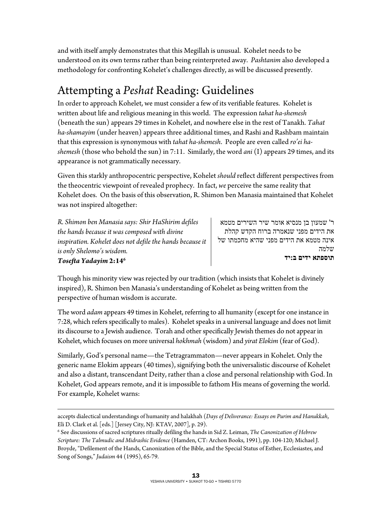and with itself amply demonstrates that this Megillah is unusual. Kohelet needs to be understood on its own terms rather than being reinterpreted away. *Pashtanim* also developed a methodology for confronting Kohelet's challenges directly, as will be discussed presently.

### Attempting a *Peshat* Reading: Guidelines

In order to approach Kohelet, we must consider a few of its verifiable features. Kohelet is written about life and religious meaning in this world. The expression *tahat ha-shemesh* (beneath the sun) appears 29 times in Kohelet, and nowhere else in the rest of Tanakh. *Tahat ha-shamayim* (under heaven) appears three additional times, and Rashi and Rashbam maintain that this expression is synonymous with *tahat ha-shemesh*. People are even called *ro'ei hashemesh* (those who behold the sun) in 7:11. Similarly, the word *ani* (I) appears 29 times, and its appearance is not grammatically necessary.

Given this starkly anthropocentric perspective, Kohelet *should* reflect different perspectives from the theocentric viewpoint of revealed prophecy. In fact, *we* perceive the same reality that Kohelet does. On the basis of this observation, R. Shimon ben Manasia maintained that Kohelet was not inspired altogether:

*R. Shimon ben Manasia says: Shir HaShirim defiles the hands because it was composed with divine inspiration. Kohelet does not defile the hands because it is only Shelomo's wisdom. Tosefta Yadayim* **2:146**

ר' שמעון בן מנסיא אומר שיר השירים מטמא את הידים מפני שנאמרה ברוח הקדש קהלת אינה מטמא את הידים מפני שהיא מחכמתו של שלמה **תוספתא ידים ב:יד**

Though his minority view was rejected by our tradition (which insists that Kohelet is divinely inspired), R. Shimon ben Manasia's understanding of Kohelet as being written from the perspective of human wisdom is accurate.

The word *adam* appears 49 times in Kohelet, referring to all humanity (except for one instance in 7:28, which refers specifically to males). Kohelet speaks in a universal language and does not limit its discourse to a Jewish audience. Torah and other specifically Jewish themes do not appear in Kohelet, which focuses on more universal *hokhmah* (wisdom) and *yirat Elokim* (fear of God).

Similarly, God's personal name—the Tetragrammaton—never appears in Kohelet. Only the generic name Elokim appears (40 times), signifying both the universalistic discourse of Kohelet and also a distant, transcendant Deity, rather than a close and personal relationship with God. In Kohelet, God appears remote, and it is impossible to fathom His means of governing the world. For example, Kohelet warns:

 $\overline{a}$ accepts dialectical understandings of humanity and halakhah (*Days of Deliverance: Essays on Purim and Hanukkah*, Eli D. Clark et al. [eds.] [Jersey City, NJ: KTAV, 2007], p. 29).

<sup>6</sup> See discussions of sacred scriptures ritually defiling the hands in Sid Z. Leiman, *The Canonization of Hebrew Scripture: The Talmudic and Midrashic Evidence* (Hamden, CT: Archon Books, 1991), pp. 104-120; Michael J. Broyde, "Defilement of the Hands, Canonization of the Bible, and the Special Status of Esther, Ecclesiastes, and Song of Songs," *Judaism* 44 (1995), 65-79.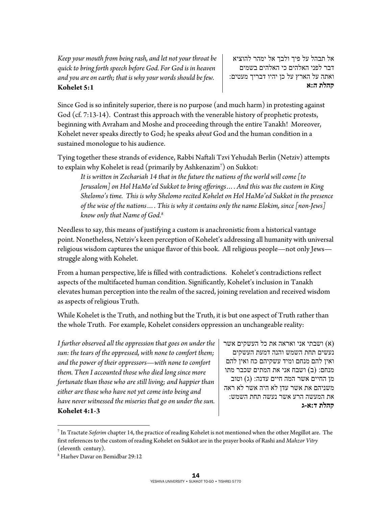*Keep your mouth from being rash, and let not your throat be quick to bring forth speech before God. For God is in heaven and you are on earth; that is why your words should be few.*  **Kohelet 5:1** 

אל תבהל על פיך ולבך אל ימהר להוציא דבר לפני האלהים כי האלהים בשמים ואתה על הארץ על כן יהיו דבריך מעטים: **קהלת ה:א**

Since God is so infinitely superior, there is no purpose (and much harm) in protesting against God (cf. 7:13-14). Contrast this approach with the venerable history of prophetic protests, beginning with Avraham and Moshe and proceeding through the entire Tanakh! Moreover, Kohelet never speaks directly to God; he speaks *about* God and the human condition in a sustained monologue to his audience.

Tying together these strands of evidence, Rabbi Naftali Tzvi Yehudah Berlin (Netziv) attempts to explain why Kohelet is read (primarily by Ashkenazim7 ) on Sukkot:

*It is written in Zechariah 14 that in the future the nations of the world will come [to Jerusalem] on Hol HaMo'ed Sukkot to bring offerings…. And this was the custom in King Shelomo's time. This is why Shelomo recited Kohelet on Hol HaMo'ed Sukkot in the presence of the wise of the nations…. This is why it contains only the name Elokim, since [non-Jews] know only that Name of God.8*

Needless to say, this means of justifying a custom is anachronistic from a historical vantage point. Nonetheless, Netziv's keen perception of Kohelet's addressing all humanity with universal religious wisdom captures the unique flavor of this book. All religious people—not only Jews struggle along with Kohelet.

From a human perspective, life is filled with contradictions. Kohelet's contradictions reflect aspects of the multifaceted human condition. Significantly, Kohelet's inclusion in Tanakh elevates human perception into the realm of the sacred, joining revelation and received wisdom as aspects of religious Truth.

While Kohelet is the Truth, and nothing but the Truth, it is but one aspect of Truth rather than the whole Truth. For example, Kohelet considers oppression an unchangeable reality:

*I further observed all the oppression that goes on under the sun: the tears of the oppressed, with none to comfort them; and the power of their oppressors—with none to comfort them. Then I accounted those who died long since more fortunate than those who are still living; and happier than either are those who have not yet come into being and have never witnessed the miseries that go on under the sun.*  **Kohelet 4:1-3**

(א) ושבתי אני ואראה את כל העשקים אשר נעשים תחת השמש והנה דמעת העשקים ואין להם מנחם ומיד עשקיהם כח ואין להם מנחם: (ב) ושבח אני את המתים שכבר מתו מן החיים אשר המה חיים עדנה: (ג) וטוב משניהם את אשר עדן לא היה אשר לא ראה את המעשה הרע אשר נעשה תחת השמש: **קהלת ד:א-ג**

 $\overline{a}$ 

<sup>7</sup> In Tractate *Soferim* chapter 14, the practice of reading Kohelet is not mentioned when the other Megillot are. The first references to the custom of reading Kohelet on Sukkot are in the prayer books of Rashi and *Mahzor Vitry* (eleventh century).

<sup>8</sup> Harhev Davar on Bemidbar 29:12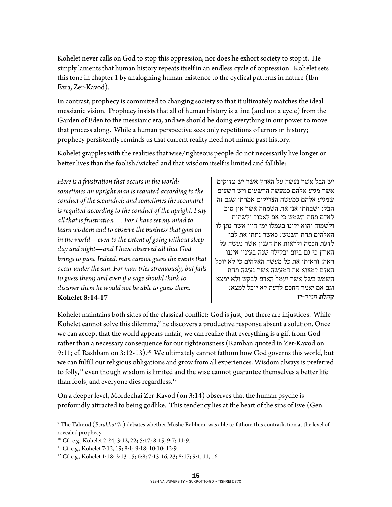Kohelet never calls on God to stop this oppression, nor does he exhort society to stop it. He simply laments that human history repeats itself in an endless cycle of oppression. Kohelet sets this tone in chapter 1 by analogizing human existence to the cyclical patterns in nature (Ibn Ezra, Zer-Kavod).

In contrast, prophecy is committed to changing society so that it ultimately matches the ideal messianic vision. Prophecy insists that all of human history is a line (and not a cycle) from the Garden of Eden to the messianic era, and we should be doing everything in our power to move that process along. While a human perspective sees only repetitions of errors in history; prophecy persistently reminds us that current reality need not mimic past history.

Kohelet grapples with the realities that wise/righteous people do not necessarily live longer or better lives than the foolish/wicked and that wisdom itself is limited and fallible:

*Here is a frustration that occurs in the world: sometimes an upright man is requited according to the conduct of the scoundrel; and sometimes the scoundrel is requited according to the conduct of the upright. I say all that is frustration…. For I have set my mind to learn wisdom and to observe the business that goes on in the world—even to the extent of going without sleep day and night—and I have observed all that God brings to pass. Indeed, man cannot guess the events that occur under the sun. For man tries strenuously, but fails to guess them; and even if a sage should think to discover them he would not be able to guess them.*  **Kohelet 8:14-17** 

יש הבל אשר נעשה על הארץ אשר יש צדיקים אשר מגיע אלהם כמעשה הרשעים ויש רשעים שמגיע אלהם כמעשה הצדיקים אמרתי שגם זה הבל: ושבחתי אני את השמחה אשר אין טוב לאדם תחת השמש כי אם לאכול ולשתות ולשמוח והוא ילונו בעמלו ימי חייו אשר נתן לו האלהים תחת השמש: כאשר נתתי את לבי לדעת חכמה ולראות את הענין אשר נעשה על הארץ כי גם ביום ובלילה שנה בעיניו איננו ראה: וראיתי את כל מעשה האלהים כי לא יוכל האדם למצוא את המעשה אשר נעשה תחת השמש בשל אשר יעמל האדם לבקש ולא ימצא וגם אם יאמר החכם לדעת לא יוכל למצא: **קהלת ח:יד-יז**

Kohelet maintains both sides of the classical conflict: God is just, but there are injustices. While Kohelet cannot solve this dilemma,<sup>9</sup> he discovers a productive response absent a solution. Once we can accept that the world appears unfair, we can realize that everything is a gift from God rather than a necessary consequence for our righteousness (Ramban quoted in Zer-Kavod on 9:11; cf. Rashbam on 3:12-13).<sup>10</sup> We ultimately cannot fathom how God governs this world, but we can fulfill our religious obligations and grow from all experiences. Wisdom always is preferred to folly, $11$  even though wisdom is limited and the wise cannot guarantee themselves a better life than fools, and everyone dies regardless.<sup>12</sup>

On a deeper level, Mordechai Zer-Kavod (on 3:14) observes that the human psyche is profoundly attracted to being godlike. This tendency lies at the heart of the sins of Eve (Gen.

 $\overline{a}$ 

<sup>9</sup> The Talmud (*Berakhot* 7a) debates whether Moshe Rabbenu was able to fathom this contradiction at the level of revealed prophecy.

<sup>&</sup>lt;sup>10</sup> Cf. e.g., Kohelet 2:24; 3:12, 22; 5:17; 8:15; 9:7; 11:9.<br><sup>11</sup> Cf. e.g., Kohelet 7:12, 19; 8:1; 9:18; 10:10; 12:9.

<sup>&</sup>lt;sup>12</sup> Cf. e.g., Kohelet 1:18; 2:13-15; 6:8; 7:15-16, 23; 8:17; 9:1, 11, 16.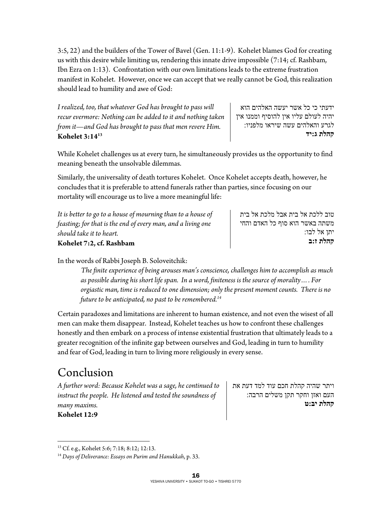3:5, 22) and the builders of the Tower of Bavel (Gen. 11:1-9). Kohelet blames God for creating us with this desire while limiting us, rendering this innate drive impossible (7:14; cf. Rashbam, Ibn Ezra on 1:13). Confrontation with our own limitations leads to the extreme frustration manifest in Kohelet. However, once we can accept that we really cannot be God, this realization should lead to humility and awe of God:

*I realized, too, that whatever God has brought to pass will recur evermore: Nothing can be added to it and nothing taken from it—and God has brought to pass that men revere Him.*  **Kohelet 3:1413**

ידעתי כי כל אשר יעשה האלהים הוא יהיה לעולם עליו אין להוסיף וממנו אין לגרע והאלהים עשה שיראו מלפניו: **קהלת ג:יד**

While Kohelet challenges us at every turn, he simultaneously provides us the opportunity to find meaning beneath the unsolvable dilemmas.

Similarly, the universality of death tortures Kohelet. Once Kohelet accepts death, however, he concludes that it is preferable to attend funerals rather than parties, since focusing on our mortality will encourage us to live a more meaningful life:

| Kohelet 7:2, cf. Rashbam                                     | קהלת ז:ב                        |
|--------------------------------------------------------------|---------------------------------|
| should take it to heart.                                     | יתו אל לבו:                     |
| feasting; for that is the end of every man, and a living one | משתה באשר הוא סוף כל האדם והחי  |
| It is better to go to a house of mourning than to a house of | טוב ללכת אל בית אבל מלכת אל בית |

In the words of Rabbi Joseph B. Soloveitchik:

*The finite experience of being arouses man's conscience, challenges him to accomplish as much as possible during his short life span. In a word, finiteness is the source of morality…. For orgiastic man, time is reduced to one dimension; only the present moment counts. There is no future to be anticipated, no past to be remembered.14*

Certain paradoxes and limitations are inherent to human existence, and not even the wisest of all men can make them disappear. Instead, Kohelet teaches us how to confront these challenges honestly and then embark on a process of intense existential frustration that ultimately leads to a greater recognition of the infinite gap between ourselves and God, leading in turn to humility and fear of God, leading in turn to living more religiously in every sense.

## Conclusion

*A further word: Because Kohelet was a sage, he continued to instruct the people. He listened and tested the soundness of many maxims.* 

**Kohelet 12:9** 

ויתר שהיה קהלת חכם עוד למד דעת את העם ואזן וחקר תקן משלים הרבה: **קהלת יב:ט**

 $\overline{a}$ 13 Cf. e.g., Kohelet 5:6; 7:18; 8:12; 12:13.

<sup>14</sup> *Days of Deliverance: Essays on Purim and Hanukkah*, p. 33.